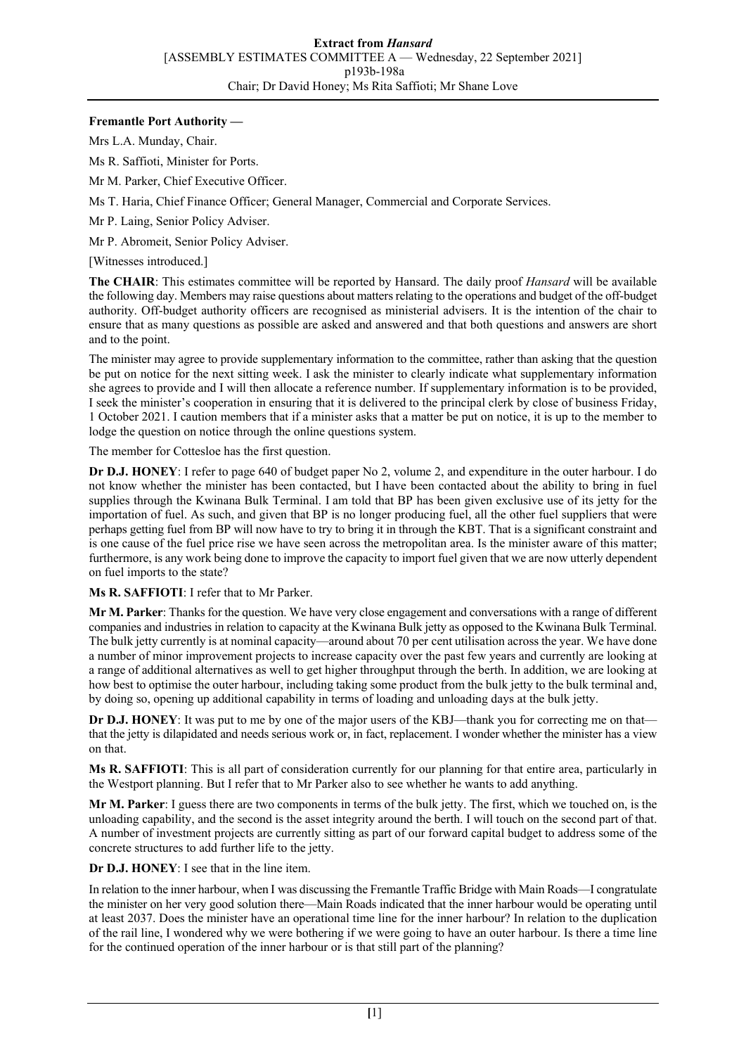## **Fremantle Port Authority —**

Mrs L.A. Munday, Chair.

Ms R. Saffioti, Minister for Ports.

Mr M. Parker, Chief Executive Officer.

Ms T. Haria, Chief Finance Officer; General Manager, Commercial and Corporate Services.

Mr P. Laing, Senior Policy Adviser.

Mr P. Abromeit, Senior Policy Adviser.

[Witnesses introduced.]

**The CHAIR**: This estimates committee will be reported by Hansard. The daily proof *Hansard* will be available the following day. Members may raise questions about matters relating to the operations and budget of the off-budget authority. Off-budget authority officers are recognised as ministerial advisers. It is the intention of the chair to ensure that as many questions as possible are asked and answered and that both questions and answers are short and to the point.

The minister may agree to provide supplementary information to the committee, rather than asking that the question be put on notice for the next sitting week. I ask the minister to clearly indicate what supplementary information she agrees to provide and I will then allocate a reference number. If supplementary information is to be provided, I seek the minister's cooperation in ensuring that it is delivered to the principal clerk by close of business Friday, 1 October 2021. I caution members that if a minister asks that a matter be put on notice, it is up to the member to lodge the question on notice through the online questions system.

The member for Cottesloe has the first question.

**Dr D.J. HONEY**: I refer to page 640 of budget paper No 2, volume 2, and expenditure in the outer harbour. I do not know whether the minister has been contacted, but I have been contacted about the ability to bring in fuel supplies through the Kwinana Bulk Terminal. I am told that BP has been given exclusive use of its jetty for the importation of fuel. As such, and given that BP is no longer producing fuel, all the other fuel suppliers that were perhaps getting fuel from BP will now have to try to bring it in through the KBT. That is a significant constraint and is one cause of the fuel price rise we have seen across the metropolitan area. Is the minister aware of this matter; furthermore, is any work being done to improve the capacity to import fuel given that we are now utterly dependent on fuel imports to the state?

**Ms R. SAFFIOTI**: I refer that to Mr Parker.

**Mr M. Parker**: Thanks for the question. We have very close engagement and conversations with a range of different companies and industries in relation to capacity at the Kwinana Bulk jetty as opposed to the Kwinana Bulk Terminal. The bulk jetty currently is at nominal capacity—around about 70 per cent utilisation across the year. We have done a number of minor improvement projects to increase capacity over the past few years and currently are looking at a range of additional alternatives as well to get higher throughput through the berth. In addition, we are looking at how best to optimise the outer harbour, including taking some product from the bulk jetty to the bulk terminal and, by doing so, opening up additional capability in terms of loading and unloading days at the bulk jetty.

**Dr D.J. HONEY**: It was put to me by one of the major users of the KBJ—thank you for correcting me on that that the jetty is dilapidated and needs serious work or, in fact, replacement. I wonder whether the minister has a view on that.

**Ms R. SAFFIOTI**: This is all part of consideration currently for our planning for that entire area, particularly in the Westport planning. But I refer that to Mr Parker also to see whether he wants to add anything.

**Mr M. Parker**: I guess there are two components in terms of the bulk jetty. The first, which we touched on, is the unloading capability, and the second is the asset integrity around the berth. I will touch on the second part of that. A number of investment projects are currently sitting as part of our forward capital budget to address some of the concrete structures to add further life to the jetty.

**Dr D.J. HONEY**: I see that in the line item.

In relation to the inner harbour, when I was discussing the Fremantle Traffic Bridge with Main Roads—I congratulate the minister on her very good solution there—Main Roads indicated that the inner harbour would be operating until at least 2037. Does the minister have an operational time line for the inner harbour? In relation to the duplication of the rail line, I wondered why we were bothering if we were going to have an outer harbour. Is there a time line for the continued operation of the inner harbour or is that still part of the planning?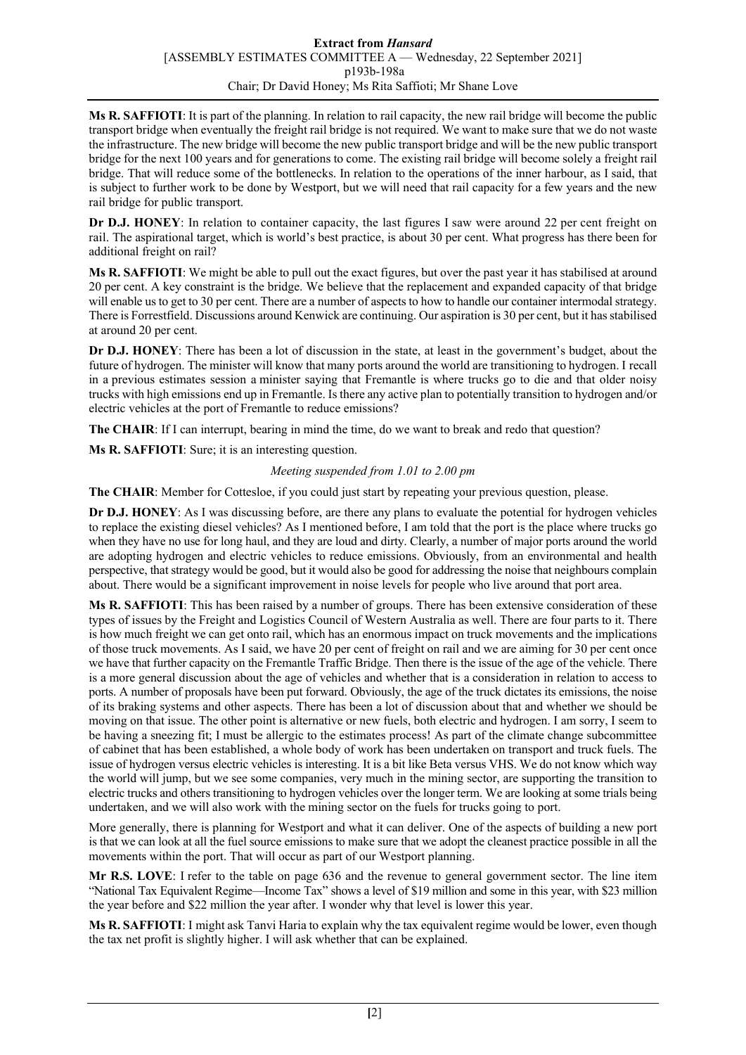**Ms R. SAFFIOTI**: It is part of the planning. In relation to rail capacity, the new rail bridge will become the public transport bridge when eventually the freight rail bridge is not required. We want to make sure that we do not waste the infrastructure. The new bridge will become the new public transport bridge and will be the new public transport bridge for the next 100 years and for generations to come. The existing rail bridge will become solely a freight rail bridge. That will reduce some of the bottlenecks. In relation to the operations of the inner harbour, as I said, that is subject to further work to be done by Westport, but we will need that rail capacity for a few years and the new rail bridge for public transport.

**Dr D.J. HONEY**: In relation to container capacity, the last figures I saw were around 22 per cent freight on rail. The aspirational target, which is world's best practice, is about 30 per cent. What progress has there been for additional freight on rail?

**Ms R. SAFFIOTI**: We might be able to pull out the exact figures, but over the past year it has stabilised at around 20 per cent. A key constraint is the bridge. We believe that the replacement and expanded capacity of that bridge will enable us to get to 30 per cent. There are a number of aspects to how to handle our container intermodal strategy. There is Forrestfield. Discussions around Kenwick are continuing. Our aspiration is 30 per cent, but it has stabilised at around 20 per cent.

**Dr D.J. HONEY**: There has been a lot of discussion in the state, at least in the government's budget, about the future of hydrogen. The minister will know that many ports around the world are transitioning to hydrogen. I recall in a previous estimates session a minister saying that Fremantle is where trucks go to die and that older noisy trucks with high emissions end up in Fremantle. Is there any active plan to potentially transition to hydrogen and/or electric vehicles at the port of Fremantle to reduce emissions?

**The CHAIR**: If I can interrupt, bearing in mind the time, do we want to break and redo that question?

**Ms R. SAFFIOTI**: Sure; it is an interesting question.

## *Meeting suspended from 1.01 to 2.00 pm*

**The CHAIR**: Member for Cottesloe, if you could just start by repeating your previous question, please.

**Dr D.J. HONEY**: As I was discussing before, are there any plans to evaluate the potential for hydrogen vehicles to replace the existing diesel vehicles? As I mentioned before, I am told that the port is the place where trucks go when they have no use for long haul, and they are loud and dirty. Clearly, a number of major ports around the world are adopting hydrogen and electric vehicles to reduce emissions. Obviously, from an environmental and health perspective, that strategy would be good, but it would also be good for addressing the noise that neighbours complain about. There would be a significant improvement in noise levels for people who live around that port area.

**Ms R. SAFFIOTI**: This has been raised by a number of groups. There has been extensive consideration of these types of issues by the Freight and Logistics Council of Western Australia as well. There are four parts to it. There is how much freight we can get onto rail, which has an enormous impact on truck movements and the implications of those truck movements. As I said, we have 20 per cent of freight on rail and we are aiming for 30 per cent once we have that further capacity on the Fremantle Traffic Bridge. Then there is the issue of the age of the vehicle. There is a more general discussion about the age of vehicles and whether that is a consideration in relation to access to ports. A number of proposals have been put forward. Obviously, the age of the truck dictates its emissions, the noise of its braking systems and other aspects. There has been a lot of discussion about that and whether we should be moving on that issue. The other point is alternative or new fuels, both electric and hydrogen. I am sorry, I seem to be having a sneezing fit; I must be allergic to the estimates process! As part of the climate change subcommittee of cabinet that has been established, a whole body of work has been undertaken on transport and truck fuels. The issue of hydrogen versus electric vehicles is interesting. It is a bit like Beta versus VHS. We do not know which way the world will jump, but we see some companies, very much in the mining sector, are supporting the transition to electric trucks and others transitioning to hydrogen vehicles over the longer term. We are looking at some trials being undertaken, and we will also work with the mining sector on the fuels for trucks going to port.

More generally, there is planning for Westport and what it can deliver. One of the aspects of building a new port is that we can look at all the fuel source emissions to make sure that we adopt the cleanest practice possible in all the movements within the port. That will occur as part of our Westport planning.

**Mr R.S. LOVE**: I refer to the table on page 636 and the revenue to general government sector. The line item "National Tax Equivalent Regime—Income Tax" shows a level of \$19 million and some in this year, with \$23 million the year before and \$22 million the year after. I wonder why that level is lower this year.

**Ms R. SAFFIOTI**: I might ask Tanvi Haria to explain why the tax equivalent regime would be lower, even though the tax net profit is slightly higher. I will ask whether that can be explained.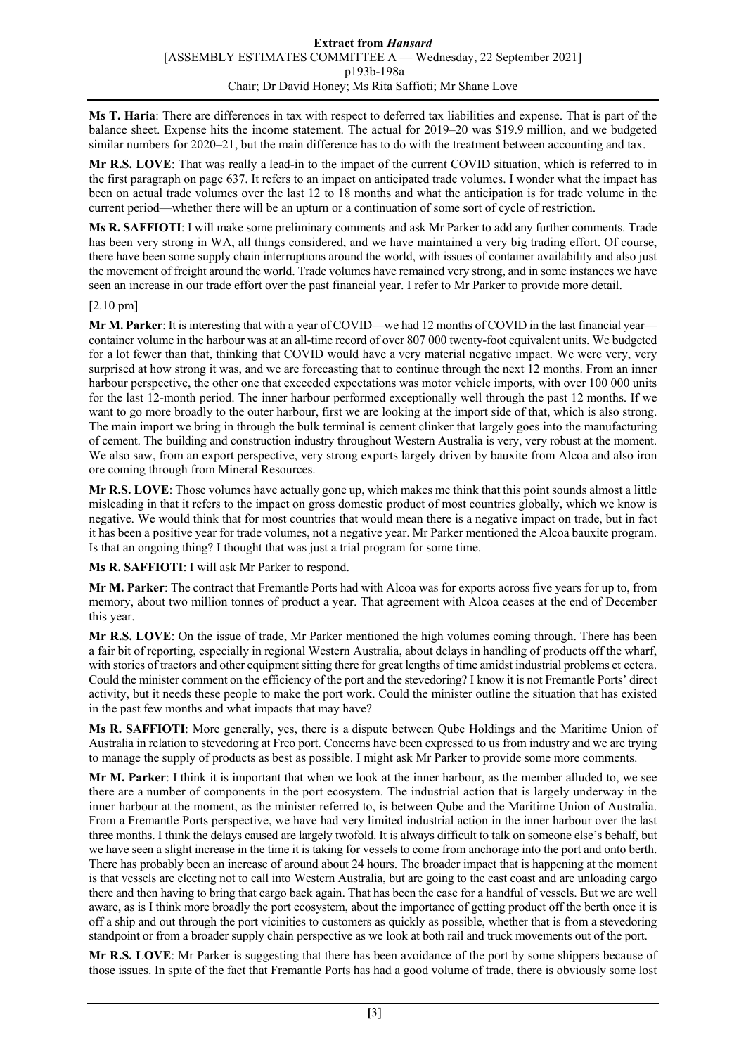**Ms T. Haria**: There are differences in tax with respect to deferred tax liabilities and expense. That is part of the balance sheet. Expense hits the income statement. The actual for 2019–20 was \$19.9 million, and we budgeted similar numbers for 2020–21, but the main difference has to do with the treatment between accounting and tax.

**Mr R.S. LOVE**: That was really a lead-in to the impact of the current COVID situation, which is referred to in the first paragraph on page 637. It refers to an impact on anticipated trade volumes. I wonder what the impact has been on actual trade volumes over the last 12 to 18 months and what the anticipation is for trade volume in the current period—whether there will be an upturn or a continuation of some sort of cycle of restriction.

**Ms R. SAFFIOTI**: I will make some preliminary comments and ask Mr Parker to add any further comments. Trade has been very strong in WA, all things considered, and we have maintained a very big trading effort. Of course, there have been some supply chain interruptions around the world, with issues of container availability and also just the movement of freight around the world. Trade volumes have remained very strong, and in some instances we have seen an increase in our trade effort over the past financial year. I refer to Mr Parker to provide more detail.

## [2.10 pm]

**Mr M. Parker**: It is interesting that with a year of COVID—we had 12 months of COVID in the last financial year container volume in the harbour was at an all-time record of over 807 000 twenty-foot equivalent units. We budgeted for a lot fewer than that, thinking that COVID would have a very material negative impact. We were very, very surprised at how strong it was, and we are forecasting that to continue through the next 12 months. From an inner harbour perspective, the other one that exceeded expectations was motor vehicle imports, with over 100 000 units for the last 12-month period. The inner harbour performed exceptionally well through the past 12 months. If we want to go more broadly to the outer harbour, first we are looking at the import side of that, which is also strong. The main import we bring in through the bulk terminal is cement clinker that largely goes into the manufacturing of cement. The building and construction industry throughout Western Australia is very, very robust at the moment. We also saw, from an export perspective, very strong exports largely driven by bauxite from Alcoa and also iron ore coming through from Mineral Resources.

**Mr R.S. LOVE**: Those volumes have actually gone up, which makes me think that this point sounds almost a little misleading in that it refers to the impact on gross domestic product of most countries globally, which we know is negative. We would think that for most countries that would mean there is a negative impact on trade, but in fact it has been a positive year for trade volumes, not a negative year. Mr Parker mentioned the Alcoa bauxite program. Is that an ongoing thing? I thought that was just a trial program for some time.

**Ms R. SAFFIOTI**: I will ask Mr Parker to respond.

**Mr M. Parker**: The contract that Fremantle Ports had with Alcoa was for exports across five years for up to, from memory, about two million tonnes of product a year. That agreement with Alcoa ceases at the end of December this year.

**Mr R.S. LOVE**: On the issue of trade, Mr Parker mentioned the high volumes coming through. There has been a fair bit of reporting, especially in regional Western Australia, about delays in handling of products off the wharf, with stories of tractors and other equipment sitting there for great lengths of time amidst industrial problems et cetera. Could the minister comment on the efficiency of the port and the stevedoring? I know it is not Fremantle Ports' direct activity, but it needs these people to make the port work. Could the minister outline the situation that has existed in the past few months and what impacts that may have?

**Ms R. SAFFIOTI**: More generally, yes, there is a dispute between Qube Holdings and the Maritime Union of Australia in relation to stevedoring at Freo port. Concerns have been expressed to us from industry and we are trying to manage the supply of products as best as possible. I might ask Mr Parker to provide some more comments.

**Mr M. Parker**: I think it is important that when we look at the inner harbour, as the member alluded to, we see there are a number of components in the port ecosystem. The industrial action that is largely underway in the inner harbour at the moment, as the minister referred to, is between Qube and the Maritime Union of Australia. From a Fremantle Ports perspective, we have had very limited industrial action in the inner harbour over the last three months. I think the delays caused are largely twofold. It is always difficult to talk on someone else's behalf, but we have seen a slight increase in the time it is taking for vessels to come from anchorage into the port and onto berth. There has probably been an increase of around about 24 hours. The broader impact that is happening at the moment is that vessels are electing not to call into Western Australia, but are going to the east coast and are unloading cargo there and then having to bring that cargo back again. That has been the case for a handful of vessels. But we are well aware, as is I think more broadly the port ecosystem, about the importance of getting product off the berth once it is off a ship and out through the port vicinities to customers as quickly as possible, whether that is from a stevedoring standpoint or from a broader supply chain perspective as we look at both rail and truck movements out of the port.

**Mr R.S. LOVE**: Mr Parker is suggesting that there has been avoidance of the port by some shippers because of those issues. In spite of the fact that Fremantle Ports has had a good volume of trade, there is obviously some lost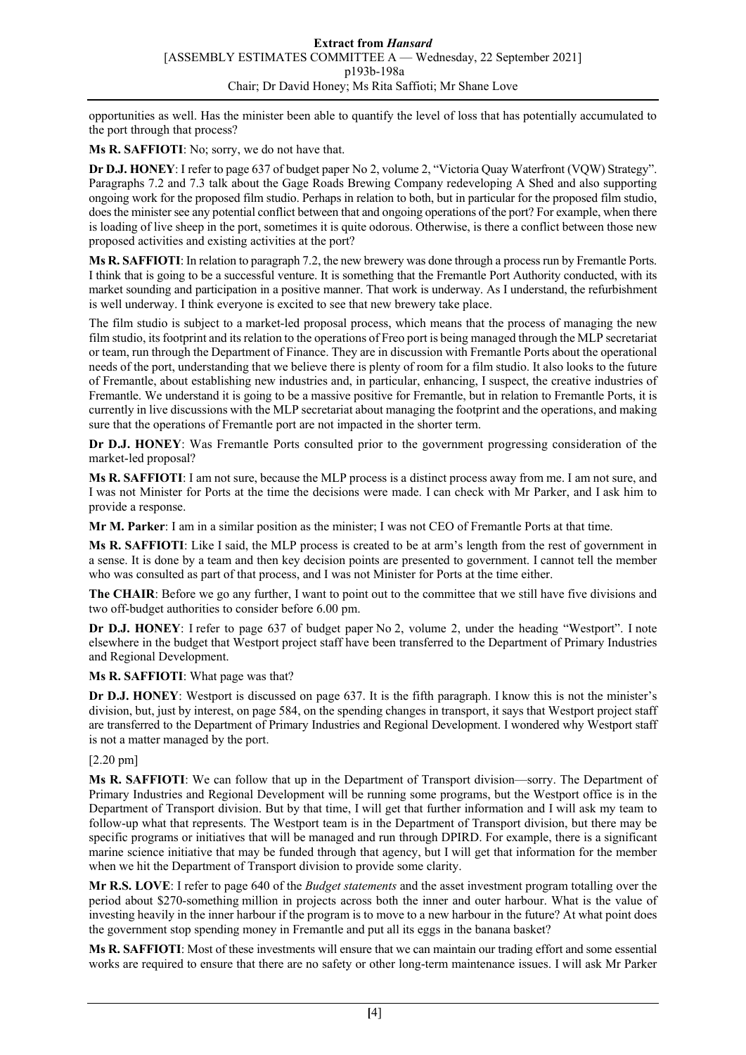opportunities as well. Has the minister been able to quantify the level of loss that has potentially accumulated to the port through that process?

**Ms R. SAFFIOTI**: No; sorry, we do not have that.

**Dr D.J. HONEY**: I refer to page 637 of budget paper No 2, volume 2, "Victoria Quay Waterfront (VQW) Strategy". Paragraphs 7.2 and 7.3 talk about the Gage Roads Brewing Company redeveloping A Shed and also supporting ongoing work for the proposed film studio. Perhaps in relation to both, but in particular for the proposed film studio, does the minister see any potential conflict between that and ongoing operations of the port? For example, when there is loading of live sheep in the port, sometimes it is quite odorous. Otherwise, is there a conflict between those new proposed activities and existing activities at the port?

**Ms R. SAFFIOTI**: In relation to paragraph 7.2, the new brewery was done through a process run by Fremantle Ports. I think that is going to be a successful venture. It is something that the Fremantle Port Authority conducted, with its market sounding and participation in a positive manner. That work is underway. As I understand, the refurbishment is well underway. I think everyone is excited to see that new brewery take place.

The film studio is subject to a market-led proposal process, which means that the process of managing the new film studio, its footprint and its relation to the operations of Freo port is being managed through the MLP secretariat or team, run through the Department of Finance. They are in discussion with Fremantle Ports about the operational needs of the port, understanding that we believe there is plenty of room for a film studio. It also looks to the future of Fremantle, about establishing new industries and, in particular, enhancing, I suspect, the creative industries of Fremantle. We understand it is going to be a massive positive for Fremantle, but in relation to Fremantle Ports, it is currently in live discussions with the MLP secretariat about managing the footprint and the operations, and making sure that the operations of Fremantle port are not impacted in the shorter term.

**Dr D.J. HONEY**: Was Fremantle Ports consulted prior to the government progressing consideration of the market-led proposal?

**Ms R. SAFFIOTI**: I am not sure, because the MLP process is a distinct process away from me. I am not sure, and I was not Minister for Ports at the time the decisions were made. I can check with Mr Parker, and I ask him to provide a response.

**Mr M. Parker**: I am in a similar position as the minister; I was not CEO of Fremantle Ports at that time.

**Ms R. SAFFIOTI**: Like I said, the MLP process is created to be at arm's length from the rest of government in a sense. It is done by a team and then key decision points are presented to government. I cannot tell the member who was consulted as part of that process, and I was not Minister for Ports at the time either.

**The CHAIR**: Before we go any further, I want to point out to the committee that we still have five divisions and two off-budget authorities to consider before 6.00 pm.

**Dr D.J. HONEY**: I refer to page 637 of budget paper No 2, volume 2, under the heading "Westport". I note elsewhere in the budget that Westport project staff have been transferred to the Department of Primary Industries and Regional Development.

**Ms R. SAFFIOTI**: What page was that?

**Dr D.J. HONEY**: Westport is discussed on page 637. It is the fifth paragraph. I know this is not the minister's division, but, just by interest, on page 584, on the spending changes in transport, it says that Westport project staff are transferred to the Department of Primary Industries and Regional Development. I wondered why Westport staff is not a matter managed by the port.

[2.20 pm]

**Ms R. SAFFIOTI**: We can follow that up in the Department of Transport division—sorry. The Department of Primary Industries and Regional Development will be running some programs, but the Westport office is in the Department of Transport division. But by that time, I will get that further information and I will ask my team to follow-up what that represents. The Westport team is in the Department of Transport division, but there may be specific programs or initiatives that will be managed and run through DPIRD. For example, there is a significant marine science initiative that may be funded through that agency, but I will get that information for the member when we hit the Department of Transport division to provide some clarity.

**Mr R.S. LOVE**: I refer to page 640 of the *Budget statements* and the asset investment program totalling over the period about \$270-something million in projects across both the inner and outer harbour. What is the value of investing heavily in the inner harbour if the program is to move to a new harbour in the future? At what point does the government stop spending money in Fremantle and put all its eggs in the banana basket?

**Ms R. SAFFIOTI**: Most of these investments will ensure that we can maintain our trading effort and some essential works are required to ensure that there are no safety or other long-term maintenance issues. I will ask Mr Parker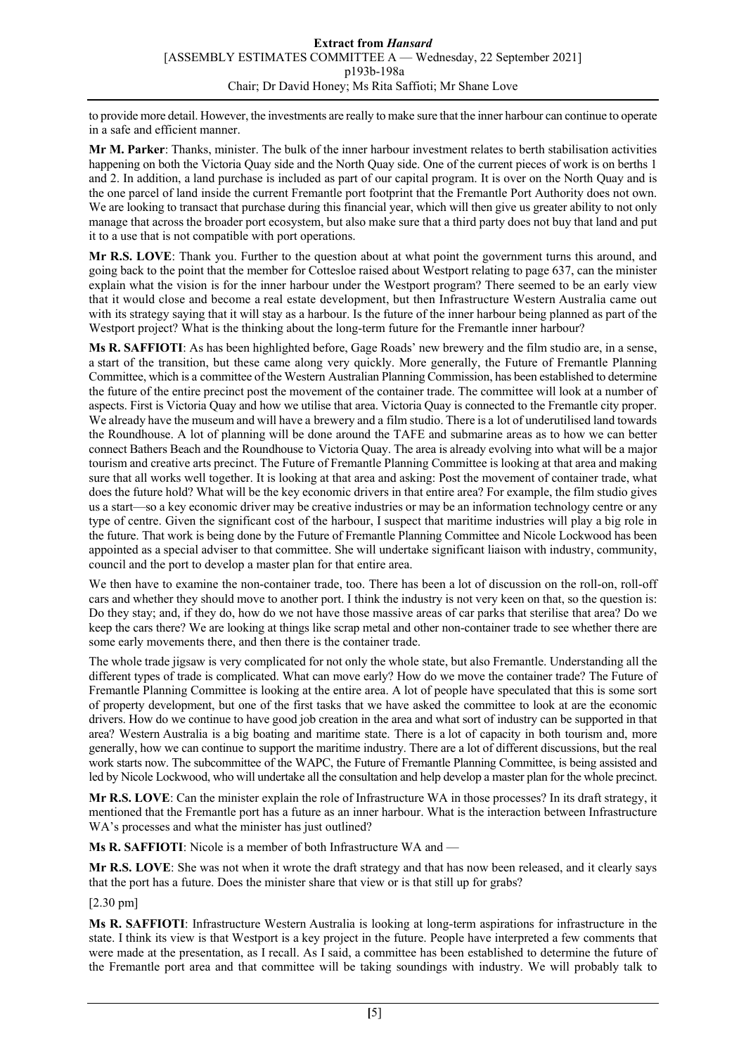to provide more detail. However, the investments are really to make sure that the inner harbour can continue to operate in a safe and efficient manner.

**Mr M. Parker**: Thanks, minister. The bulk of the inner harbour investment relates to berth stabilisation activities happening on both the Victoria Quay side and the North Quay side. One of the current pieces of work is on berths 1 and 2. In addition, a land purchase is included as part of our capital program. It is over on the North Quay and is the one parcel of land inside the current Fremantle port footprint that the Fremantle Port Authority does not own. We are looking to transact that purchase during this financial year, which will then give us greater ability to not only manage that across the broader port ecosystem, but also make sure that a third party does not buy that land and put it to a use that is not compatible with port operations.

**Mr R.S. LOVE**: Thank you. Further to the question about at what point the government turns this around, and going back to the point that the member for Cottesloe raised about Westport relating to page 637, can the minister explain what the vision is for the inner harbour under the Westport program? There seemed to be an early view that it would close and become a real estate development, but then Infrastructure Western Australia came out with its strategy saying that it will stay as a harbour. Is the future of the inner harbour being planned as part of the Westport project? What is the thinking about the long-term future for the Fremantle inner harbour?

**Ms R. SAFFIOTI**: As has been highlighted before, Gage Roads' new brewery and the film studio are, in a sense, a start of the transition, but these came along very quickly. More generally, the Future of Fremantle Planning Committee, which is a committee of the Western Australian Planning Commission, has been established to determine the future of the entire precinct post the movement of the container trade. The committee will look at a number of aspects. First is Victoria Quay and how we utilise that area. Victoria Quay is connected to the Fremantle city proper. We already have the museum and will have a brewery and a film studio. There is a lot of underutilised land towards the Roundhouse. A lot of planning will be done around the TAFE and submarine areas as to how we can better connect Bathers Beach and the Roundhouse to Victoria Quay. The area is already evolving into what will be a major tourism and creative arts precinct. The Future of Fremantle Planning Committee is looking at that area and making sure that all works well together. It is looking at that area and asking: Post the movement of container trade, what does the future hold? What will be the key economic drivers in that entire area? For example, the film studio gives us a start—so a key economic driver may be creative industries or may be an information technology centre or any type of centre. Given the significant cost of the harbour, I suspect that maritime industries will play a big role in the future. That work is being done by the Future of Fremantle Planning Committee and Nicole Lockwood has been appointed as a special adviser to that committee. She will undertake significant liaison with industry, community, council and the port to develop a master plan for that entire area.

We then have to examine the non-container trade, too. There has been a lot of discussion on the roll-on, roll-off cars and whether they should move to another port. I think the industry is not very keen on that, so the question is: Do they stay; and, if they do, how do we not have those massive areas of car parks that sterilise that area? Do we keep the cars there? We are looking at things like scrap metal and other non-container trade to see whether there are some early movements there, and then there is the container trade.

The whole trade jigsaw is very complicated for not only the whole state, but also Fremantle. Understanding all the different types of trade is complicated. What can move early? How do we move the container trade? The Future of Fremantle Planning Committee is looking at the entire area. A lot of people have speculated that this is some sort of property development, but one of the first tasks that we have asked the committee to look at are the economic drivers. How do we continue to have good job creation in the area and what sort of industry can be supported in that area? Western Australia is a big boating and maritime state. There is a lot of capacity in both tourism and, more generally, how we can continue to support the maritime industry. There are a lot of different discussions, but the real work starts now. The subcommittee of the WAPC, the Future of Fremantle Planning Committee, is being assisted and led by Nicole Lockwood, who will undertake all the consultation and help develop a master plan for the whole precinct.

**Mr R.S. LOVE**: Can the minister explain the role of Infrastructure WA in those processes? In its draft strategy, it mentioned that the Fremantle port has a future as an inner harbour. What is the interaction between Infrastructure WA's processes and what the minister has just outlined?

**Ms R. SAFFIOTI**: Nicole is a member of both Infrastructure WA and —

**Mr R.S. LOVE**: She was not when it wrote the draft strategy and that has now been released, and it clearly says that the port has a future. Does the minister share that view or is that still up for grabs?

[2.30 pm]

**Ms R. SAFFIOTI**: Infrastructure Western Australia is looking at long-term aspirations for infrastructure in the state. I think its view is that Westport is a key project in the future. People have interpreted a few comments that were made at the presentation, as I recall. As I said, a committee has been established to determine the future of the Fremantle port area and that committee will be taking soundings with industry. We will probably talk to